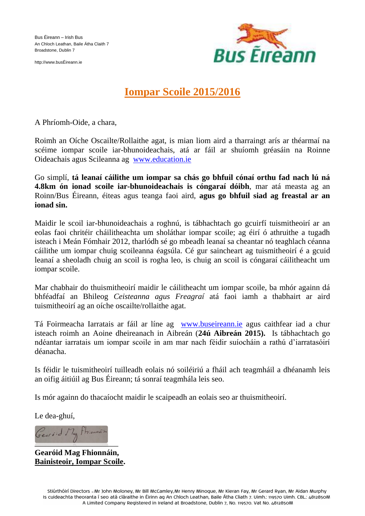Bus Éireann – Irish Bus An Chloch Leathan, Baile Átha Claith 7 Broadstone, Dublin 7

http://www.busÉireann.ie



# **Iompar Scoile 2015/2016**

A Phríomh-Oide, a chara,

Roimh an Oíche Oscailte/Rollaithe agat, is mian liom aird a tharraingt arís ar théarmaí na scéime iompar scoile iar-bhunoideachais, atá ar fáil ar shuíomh gréasáin na Roinne Oideachais agus Scileanna ag [www.education.ie](http://www.education.ie/)

Go simplí, **tá leanaí cáilithe um iompar sa chás go bhfuil cónaí orthu fad nach lú ná 4.8km ón ionad scoile iar-bhunoideachais is cóngaraí dóibh**, mar atá measta ag an Roinn/Bus Éireann, éiteas agus teanga faoi aird, **agus go bhfuil siad ag freastal ar an ionad sin.**

Maidir le scoil iar-bhunoideachais a roghnú, is tábhachtach go gcuirfí tuismitheoirí ar an eolas faoi chritéir cháilitheachta um sholáthar iompar scoile; ag éirí ó athruithe a tugadh isteach i Meán Fómhair 2012, tharlódh sé go mbeadh leanaí sa cheantar nó teaghlach céanna cáilithe um iompar chuig scoileanna éagsúla. Cé gur saincheart ag tuismitheoirí é a gcuid leanaí a sheoladh chuig an scoil is rogha leo, is chuig an scoil is cóngaraí cáilitheacht um iompar scoile.

Mar chabhair do thuismitheoirí maidir le cáilitheacht um iompar scoile, ba mhór againn dá bhféadfaí an Bhileog *Ceisteanna agus Freagraí* atá faoi iamh a thabhairt ar aird tuismitheoirí ag an oíche oscailte/rollaithe agat.

Tá Foirmeacha Iarratais ar fáil ar líne ag [www.buseireann.ie](http://www.buseireann.ie/) agus caithfear iad a chur isteach roimh an Aoine dheireanach in Aibreán (**24ú Aibreán 2015).** Is tábhachtach go ndéantar iarratais um iompar scoile in am mar nach féidir suíocháin a rathú d'iarratasóirí déanacha.

Is féidir le tuismitheoirí tuilleadh eolais nó soiléiriú a fháil ach teagmháil a dhéanamh leis an oifig áitiúil ag Bus Éireann; tá sonraí teagmhála leis seo.

Is mór againn do thacaíocht maidir le scaipeadh an eolais seo ar thuismitheoirí.

Le dea-ghuí,

Gears : d Mag Mionnain

**Gearóid Mag Fhionnáin, Bainisteoir, Iompar Scoile.**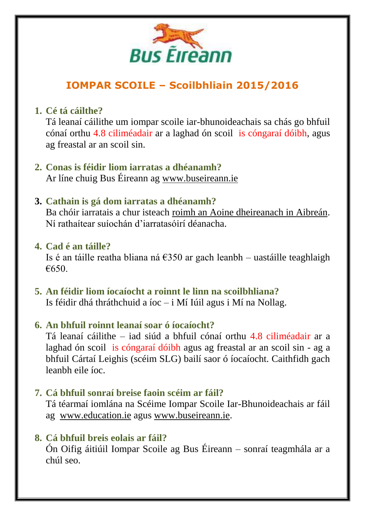

# **IOMPAR SCOILE – Scoilbhliain 2015/2016**

# **1. Cé tá cáilthe?**

Tá leanaí cáilithe um iompar scoile iar-bhunoideachais sa chás go bhfuil cónaí orthu 4.8 ciliméadair ar a laghad ón scoil is cóngaraí dóibh, agus ag freastal ar an scoil sin.

#### **2. Conas is féidir liom iarratas a dhéanamh?** Ar líne chuig Bus Éireann ag [www.buseireann.ie](http://www.buseireann.ie/)

#### **3. Cathain is gá dom iarratas a dhéanamh?**

Ba chóir iarratais a chur isteach roimh an Aoine dheireanach in Aibreán. Ní rathaítear suíochán d'iarratasóirí déanacha.

#### **4. Cad é an táille?**

Is é an táille reatha bliana ná  $\epsilon$ 350 ar gach leanbh – uastáille teaghlaigh €650.

**5. An féidir liom íocaíocht a roinnt le linn na scoilbhliana?** Is féidir dhá thráthchuid a íoc – i Mí Iúil agus i Mí na Nollag.

#### **6. An bhfuil roinnt leanaí soar ó íocaíocht?**

Tá leanaí cáilithe – iad siúd a bhfuil cónaí orthu 4.8 ciliméadair ar a laghad ón scoil is cóngaraí dóibh agus ag freastal ar an scoil sin - ag a bhfuil Cártaí Leighis (scéim SLG) bailí saor ó íocaíocht. Caithfidh gach leanbh eile íoc.

# **7. Cá bhfuil sonraí breise faoin scéim ar fáil?**

Tá téarmaí iomlána na Scéime Iompar Scoile Iar-Bhunoideachais ar fáil ag [www.education.ie](http://www.education.ie/) agus [www.buseireann.ie.](http://www.buseireann.ie/)

# **8. Cá bhfuil breis eolais ar fáil?**

Ón Oifig áitiúil Iompar Scoile ag Bus Éireann – sonraí teagmhála ar a chúl seo.